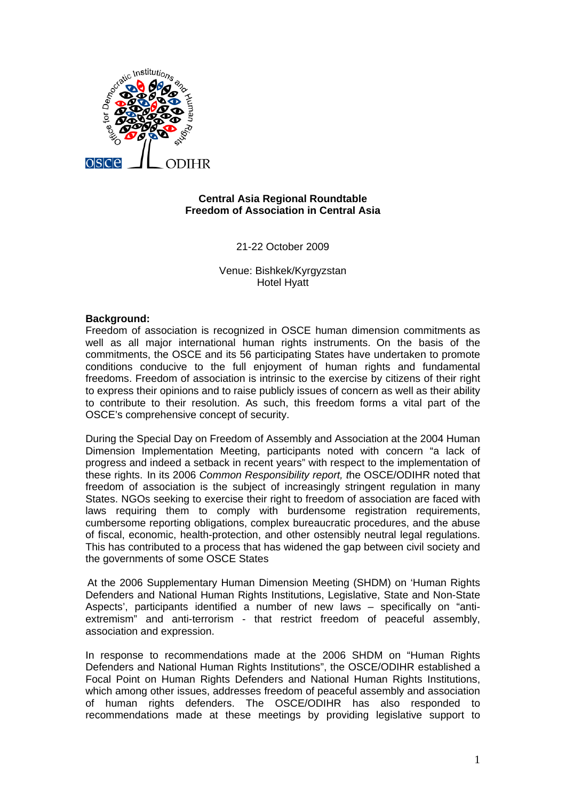

# **Central Asia Regional Roundtable Freedom of Association in Central Asia**

21-22 October 2009

Venue: Bishkek/Kyrgyzstan Hotel Hyatt

### **Background:**

Freedom of association is recognized in OSCE human dimension commitments as well as all major international human rights instruments. On the basis of the commitments, the OSCE and its 56 participating States have undertaken to promote conditions conducive to the full enjoyment of human rights and fundamental freedoms. Freedom of association is intrinsic to the exercise by citizens of their right to express their opinions and to raise publicly issues of concern as well as their ability to contribute to their resolution. As such, this freedom forms a vital part of the OSCE's comprehensive concept of security.

During the Special Day on Freedom of Assembly and Association at the 2004 Human Dimension Implementation Meeting, participants noted with concern "a lack of progress and indeed a setback in recent years" with respect to the implementation of these rights. In its 2006 *Common Responsibility report, t*he OSCE/ODIHR noted that freedom of association is the subject of increasingly stringent regulation in many States. NGOs seeking to exercise their right to freedom of association are faced with laws requiring them to comply with burdensome registration requirements, cumbersome reporting obligations, complex bureaucratic procedures, and the abuse of fiscal, economic, health-protection, and other ostensibly neutral legal regulations. This has contributed to a process that has widened the gap between civil society and the governments of some OSCE States

At the 2006 Supplementary Human Dimension Meeting (SHDM) on 'Human Rights Defenders and National Human Rights Institutions, Legislative, State and Non-State Aspects', participants identified a number of new laws – specifically on "antiextremism" and anti-terrorism - that restrict freedom of peaceful assembly, association and expression.

In response to recommendations made at the 2006 SHDM on "Human Rights Defenders and National Human Rights Institutions", the OSCE/ODIHR established a Focal Point on Human Rights Defenders and National Human Rights Institutions, which among other issues, addresses freedom of peaceful assembly and association of human rights defenders. The OSCE/ODIHR has also responded to recommendations made at these meetings by providing legislative support to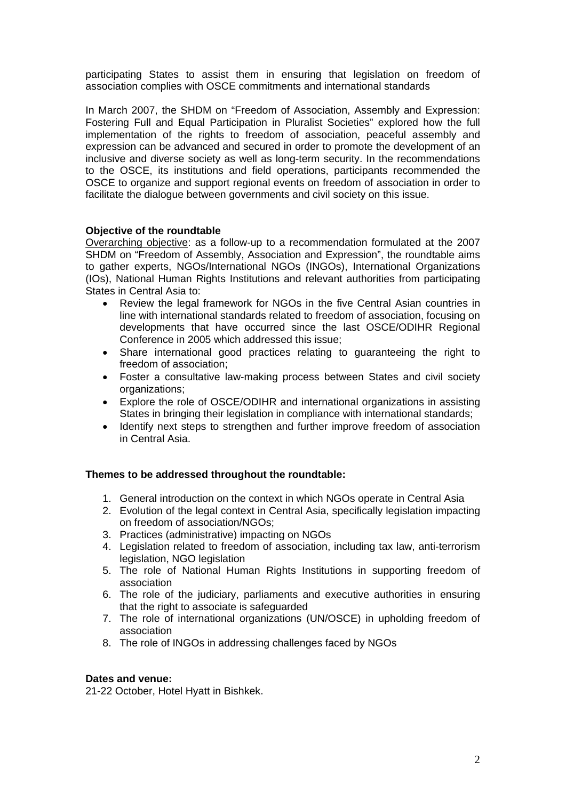participating States to assist them in ensuring that legislation on freedom of association complies with OSCE commitments and international standards

In March 2007, the SHDM on "Freedom of Association, Assembly and Expression: Fostering Full and Equal Participation in Pluralist Societies" explored how the full implementation of the rights to freedom of association, peaceful assembly and expression can be advanced and secured in order to promote the development of an inclusive and diverse society as well as long-term security. In the recommendations to the OSCE, its institutions and field operations, participants recommended the OSCE to organize and support regional events on freedom of association in order to facilitate the dialogue between governments and civil society on this issue.

# **Objective of the roundtable**

Overarching objective: as a follow-up to a recommendation formulated at the 2007 SHDM on "Freedom of Assembly, Association and Expression", the roundtable aims to gather experts, NGOs/International NGOs (INGOs), International Organizations (IOs), National Human Rights Institutions and relevant authorities from participating States in Central Asia to:

- Review the legal framework for NGOs in the five Central Asian countries in line with international standards related to freedom of association, focusing on developments that have occurred since the last OSCE/ODIHR Regional Conference in 2005 which addressed this issue;
- Share international good practices relating to guaranteeing the right to freedom of association;
- Foster a consultative law-making process between States and civil society organizations;
- Explore the role of OSCE/ODIHR and international organizations in assisting States in bringing their legislation in compliance with international standards;
- Identify next steps to strengthen and further improve freedom of association in Central Asia.

#### **Themes to be addressed throughout the roundtable:**

- 1. General introduction on the context in which NGOs operate in Central Asia
- 2. Evolution of the legal context in Central Asia, specifically legislation impacting on freedom of association/NGOs;
- 3. Practices (administrative) impacting on NGOs
- 4. Legislation related to freedom of association, including tax law, anti-terrorism legislation, NGO legislation
- 5. The role of National Human Rights Institutions in supporting freedom of association
- 6. The role of the judiciary, parliaments and executive authorities in ensuring that the right to associate is safeguarded
- 7. The role of international organizations (UN/OSCE) in upholding freedom of association
- 8. The role of INGOs in addressing challenges faced by NGOs

#### **Dates and venue:**

21-22 October, Hotel Hyatt in Bishkek.